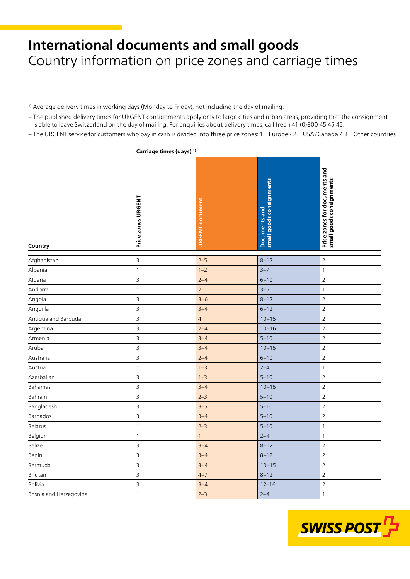## **International documents and small goods** Country information on price zones and carriage times

- <sup>1)</sup> Average delivery times in working days (Monday to Friday), not including the day of mailing.
- − The published delivery times for URGENT consignments apply only to large cities and urban areas, providing that the consignment is able to leave Switzerland on the day of mailing. For enquiries about delivery times, call free +41 (0)800 45 45 45.
- − The URGENT service for customers who pay in cash is divided into three price zones: 1 = Europe / 2 = USA/Canada / 3 = Other countries

|                        |                    | Carriage times (days) <sup>1)</sup> |                                           |                                                           |  |  |
|------------------------|--------------------|-------------------------------------|-------------------------------------------|-----------------------------------------------------------|--|--|
| Country                | Price zones URGENT | <b>URGENT</b> document              | small goods consignments<br>Documents and | Price zones for documents and<br>small goods consignments |  |  |
| Afghanistan            | $\mathsf 3$        | $2 - 5$                             | $8 - 12$                                  | $\overline{2}$                                            |  |  |
| Albania                | 1                  | $1 - 2$                             | $3 - 7$                                   | $\mathbf{1}$                                              |  |  |
| Algeria                | $\overline{3}$     | $2 - 4$                             | $6 - 10$                                  | $\overline{2}$                                            |  |  |
| Andorra                | $\mathbf{1}$       | $\overline{c}$                      | $3 - 5$                                   | $\mathbf 1$                                               |  |  |
| Angola                 | $\mathsf 3$        | $3 - 6$                             | $8 - 12$                                  | $\overline{2}$                                            |  |  |
| Anguilla               | $\mathsf 3$        | $3 - 4$                             | $6 - 12$                                  | $\overline{2}$                                            |  |  |
| Antigua and Barbuda    | $\mathsf 3$        | $\overline{4}$                      | $10 - 15$                                 | $\overline{2}$                                            |  |  |
| Argentina              | $\mathsf 3$        | $2 - 4$                             | $10 - 16$                                 | $\overline{2}$                                            |  |  |
| Armenia                | 3                  | $3 - 4$                             | $5 - 10$                                  | $\overline{2}$                                            |  |  |
| Aruba                  | $\mathsf 3$        | $3 - 4$                             | $10 - 15$                                 | $\overline{2}$                                            |  |  |
| Australia              | $\overline{3}$     | $2 - 4$                             | $6 - 10$                                  | $\overline{2}$                                            |  |  |
| Austria                | $\mathbf{1}$       | $1 - 3$                             | $2 - 4$                                   | $\mathbf{1}$                                              |  |  |
| Azerbaijan             | $\mathsf{3}$       | $1 - 3$                             | $5 - 10$                                  | $\overline{2}$                                            |  |  |
| Bahamas                | $\mathsf 3$        | $3 - 4$                             | $10 - 15$                                 | $\overline{2}$                                            |  |  |
| Bahrain                | $\mathsf 3$        | $2 - 3$                             | $5 - 10$                                  | $\overline{2}$                                            |  |  |
| Bangladesh             | $\overline{3}$     | $3 - 5$                             | $5 - 10$                                  | $\overline{2}$                                            |  |  |
| Barbados               | $\overline{3}$     | $3 - 4$                             | $5 - 10$                                  | $\overline{2}$                                            |  |  |
| Belarus                | 1                  | $2 - 3$                             | $5 - 10$                                  | $\mathbf{1}$                                              |  |  |
| Belgium                | 1                  | $\mathbf{1}$                        | $2 - 4$                                   | $\mathbf{1}$                                              |  |  |
| Belize                 | 3                  | $3 - 4$                             | $8 - 12$                                  | $\overline{2}$                                            |  |  |
| Benin                  | $\mathsf 3$        | $3 - 4$                             | $8 - 12$                                  | $\overline{2}$                                            |  |  |
| Bermuda                | $\mathsf 3$        | $3 - 4$                             | $10 - 15$                                 | $\overline{2}$                                            |  |  |
| Bhutan                 | 3                  | $4 - 7$                             | $8 - 12$                                  | $\overline{2}$                                            |  |  |
| <b>Bolivia</b>         | $\mathsf 3$        | $3 - 4$                             | $12 - 16$                                 | $\sqrt{2}$                                                |  |  |
| Bosnia and Herzegovina | $\mathbbm{1}$      | $2 - 3$                             | $2 - 4$                                   | $\mathbf{1}$                                              |  |  |

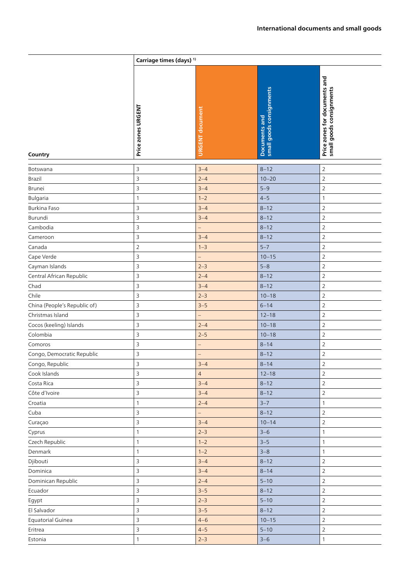|                              | Carriage times (days) <sup>1)</sup> |                          |                                           |                                                           |
|------------------------------|-------------------------------------|--------------------------|-------------------------------------------|-----------------------------------------------------------|
| Country                      | Price zones URGENT                  | <b>URGENT</b> document   | small goods consignments<br>Documents and | Price zones for documents and<br>small goods consignments |
| Botswana                     | 3                                   | $3 - 4$                  | $8 - 12$                                  | $\overline{2}$                                            |
| Brazil                       | 3                                   | $2 - 4$                  | $10 - 20$                                 | $\overline{2}$                                            |
| Brunei                       | 3                                   | $3 - 4$                  | $5 - 9$                                   | $\overline{2}$                                            |
| Bulgaria                     | $\mathbf{1}$                        | $1 - 2$                  | $4 - 5$                                   | $\mathbf{1}$                                              |
| Burkina Faso                 | 3                                   | $3 - 4$                  | $8 - 12$                                  | $\sqrt{2}$                                                |
| Burundi                      | 3                                   | $3 - 4$                  | $8 - 12$                                  | $\overline{2}$                                            |
| Cambodia                     | 3                                   | $\overline{\phantom{0}}$ | $8 - 12$                                  | $\overline{2}$                                            |
| Cameroon                     | 3                                   | $3 - 4$                  | $8 - 12$                                  | $\sqrt{2}$                                                |
| Canada                       | $\sqrt{2}$                          | $1 - 3$                  | $5 - 7$                                   | 2                                                         |
| Cape Verde                   | 3                                   | $\qquad \qquad -$        | $10 - 15$                                 | $\overline{2}$                                            |
| Cayman Islands               | 3                                   | $2 - 3$                  | $5 - 8$                                   | 2                                                         |
| Central African Republic     | 3                                   | $2 - 4$                  | $8 - 12$                                  | $\overline{2}$                                            |
| Chad                         | 3                                   | $3 - 4$                  | $8 - 12$                                  | $\overline{2}$                                            |
| Chile                        | 3                                   | $2 - 3$                  | $10 - 18$                                 | $\overline{2}$                                            |
| China (People's Republic of) | 3                                   | $3 - 5$                  | $6 - 14$                                  | $\overline{2}$                                            |
| Christmas Island             | 3                                   | $\qquad \qquad -$        | $12 - 18$                                 | $\overline{2}$                                            |
| Cocos (keeling) Islands      | 3                                   | $2 - 4$                  | $10 - 18$                                 | $\overline{2}$                                            |
| Colombia                     | 3                                   | $2 - 5$                  | $10 - 18$                                 | $\overline{2}$                                            |
| Comoros                      | 3                                   | $\overline{\phantom{0}}$ | $8 - 14$                                  | $\overline{2}$                                            |
| Congo, Democratic Republic   | 3                                   | $\qquad \qquad -$        | $8 - 12$                                  | $\overline{2}$                                            |
| Congo, Republic              | 3                                   | $3 - 4$                  | $8 - 14$                                  | 2                                                         |
| Cook Islands                 | 3                                   | $\overline{4}$           | $12 - 18$                                 | $\overline{2}$                                            |
| Costa Rica                   | 3                                   | $3 - 4$                  | $8 - 12$                                  | $\overline{2}$                                            |
| Côte d'Ivoire                | 3                                   | $3 - 4$                  | $8 - 12$                                  | $\overline{2}$                                            |
| Croatia                      | $\mathbf{1}$                        | $2 - 4$                  | $3 - 7$                                   | 1                                                         |
| Cuba                         | 3                                   | $\overline{\phantom{0}}$ | $8 - 12$                                  | $\sqrt{2}$                                                |
| Curaçao                      | 3                                   | $3 - 4$                  | $10 - 14$                                 | $\overline{2}$                                            |
| Cyprus                       | $\mathbf{1}$                        | $2 - 3$                  | $3 - 6$                                   | $\mathbf{1}$                                              |
| Czech Republic               | $\mathbf{1}$                        | $1 - 2$                  | $3 - 5$                                   | $\mathbf{1}$                                              |
| Denmark                      | $\mathbf{1}$                        | $1 - 2$                  | $3 - 8$                                   | $\mathbf{1}$                                              |
| Djibouti                     | 3                                   | $3 - 4$                  | $8 - 12$                                  | $\overline{2}$                                            |
| Dominica                     | 3                                   | $3 - 4$                  | $8 - 14$                                  | $\overline{2}$                                            |
| Dominican Republic           | 3                                   | $2 - 4$                  | $5 - 10$                                  | $\overline{2}$                                            |
| Ecuador                      | 3                                   | $3 - 5$                  | $8 - 12$                                  | $\overline{2}$                                            |
| Egypt                        | 3                                   | $2 - 3$                  | $5 - 10$                                  | $\overline{2}$                                            |
| El Salvador                  | 3                                   | $3 - 5$                  | $8 - 12$                                  | $\overline{2}$                                            |
| Equatorial Guinea            | 3                                   | $4 - 6$                  | $10 - 15$                                 | $\overline{2}$                                            |
| Eritrea                      | 3                                   | $4 - 5$                  | $5 - 10$                                  | $\overline{2}$                                            |
| Estonia                      | $\mathbf{1}$                        | $2 - 3$                  | $3 - 6$                                   | $\mathbf{1}$                                              |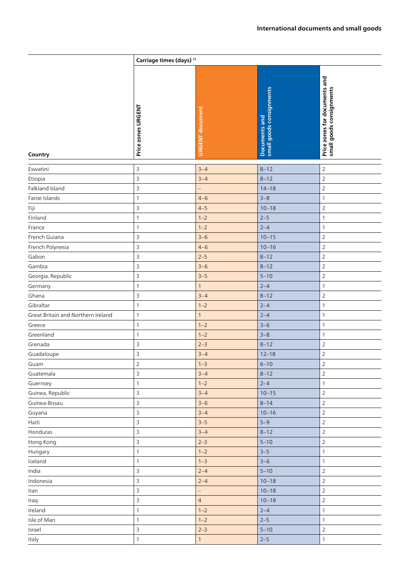|                                    | Carriage times (days) <sup>1)</sup> |                        |                                           |                                                           |
|------------------------------------|-------------------------------------|------------------------|-------------------------------------------|-----------------------------------------------------------|
| Country                            | Price zones URGENT                  | <b>URGENT</b> document | small goods consignments<br>Documents and | Price zones for documents and<br>small goods consignments |
| Eswatini                           | $\mathsf 3$                         | $3 - 4$                | $8 - 12$                                  | $\mathsf{2}\,$                                            |
| Etiopia                            | $\mathsf 3$                         | $3 - 4$                | $8 - 12$                                  | $\sqrt{2}$                                                |
| Falkland Island                    | 3                                   | $\overline{a}$         | $14 - 18$                                 | $\mathbf 2$                                               |
| Faroe Islands                      | $\mathbf{1}$                        | $4 - 6$                | $3 - 8$                                   | $\mathbf{1}$                                              |
| Fiji                               | 3                                   | $4 - 5$                | $10 - 18$                                 | $\overline{2}$                                            |
| Finland                            | $\mathbf{1}$                        | $1 - 2$                | $2 - 5$                                   | 1                                                         |
| France                             | 1                                   | $1 - 2$                | $2 - 4$                                   | $\mathbf{1}$                                              |
| French Guiana                      | 3                                   | $3 - 6$                | $10 - 15$                                 | $\mathsf{2}\,$                                            |
| French Polynesia                   | 3                                   | $4 - 6$                | $10 - 16$                                 | $\mathsf{2}\,$                                            |
| Gabon                              | $\overline{\mathbf{3}}$             | $2 - 5$                | $8 - 12$                                  | $\overline{2}$                                            |
| Gambia                             | 3                                   | $3 - 6$                | $8 - 12$                                  | $\mathsf{2}\,$                                            |
| Georgia, Republic                  | $\overline{\mathbf{3}}$             | $3 - 5$                | $5 - 10$                                  | $\overline{2}$                                            |
| Germany                            | $\mathbf{1}$                        | $\mathbf{1}$           | $2 - 4$                                   | $\mathbf{1}$                                              |
| Ghana                              | 3                                   | $3 - 4$                | $8 - 12$                                  | $\mathbf 2$                                               |
| Gibraltar                          | $\mathbf{1}$                        | $1 - 2$                | $2 - 4$                                   | $\mathbf{1}$                                              |
| Great Britain and Northern Ireland | 1                                   | $\mathbf{1}$           | $2 - 4$                                   | 1                                                         |
| Greece                             | $\mathbf{1}$                        | $1 - 2$                | $3 - 6$                                   | 1                                                         |
| Greenland                          | 1                                   | $1 - 2$                | $3 - 8$                                   | $\mathbf{1}$                                              |
| Grenada                            | 3                                   | $2 - 3$                | $8 - 12$                                  | $\mathsf{2}\,$                                            |
| Guadaloupe                         | 3                                   | $3 - 4$                | $12 - 18$                                 | $\overline{2}$                                            |
| Guam                               | 2                                   | $1 - 3$                | $6 - 10$                                  | 2                                                         |
| Guatemala                          | $\overline{3}$                      | $3 - 4$                | $8 - 12$                                  | $\overline{2}$                                            |
| Guernsey                           | $\mathbf{1}$                        | $1 - 2$                | $2 - 4$                                   | $\mathbf{1}$                                              |
| Guinea, Republic                   | $\overline{3}$                      | $3 - 4$                | $10 - 15$                                 | $\overline{2}$                                            |
| Guinea-Bissau                      | $\mathsf 3$                         | $3 - 6$                | $8 - 14$                                  | $\overline{2}$                                            |
| Guyana                             | $\overline{3}$                      | $3 - 4$                | $10 - 16$                                 | $\overline{2}$                                            |
| Haiti                              | $\mathsf 3$                         | $3 - 5$                | $5 - 9$                                   | $\overline{2}$                                            |
| Honduras                           | $\overline{3}$                      | $3 - 4$                | $8 - 12$                                  | $\mathbf 2$                                               |
| Hong Kong                          | $\mathsf 3$                         | $2 - 3$                | $5 - 10$                                  | $\overline{2}$                                            |
| Hungary                            | $\mathbf{1}$                        | $1 - 2$                | $3 - 5$                                   | $\mathbf{1}$                                              |
| Iceland                            | $\mathbf{1}$                        | $1 - 3$                | $3 - 6$                                   | $\mathbf{1}$                                              |
| India                              | $\overline{3}$                      | $2 - 4$                | $5 - 10$                                  | $\overline{2}$                                            |
| Indonesia                          | $\overline{3}$                      | $2 - 4$                | $10 - 18$                                 | $\overline{2}$                                            |
| Iran                               | $\overline{3}$                      | $\qquad \qquad -$      | $10 - 18$                                 | $\mathbf 2$                                               |
| Iraq                               | $\overline{3}$                      | $\overline{4}$         | $10 - 18$                                 | $\mathbf 2$                                               |
| Ireland                            | $\mathbf{1}$                        | $1 - 2$                | $2 - 4$                                   | 1                                                         |
| Isle of Man                        | $\mathbf{1}$                        | $1 - 2$                | $2 - 5$                                   | $\mathbf{1}$                                              |
| Israel                             | $\mathsf 3$                         | $2 - 3$                | $5 - 10$                                  | $\overline{2}$                                            |
| Italy                              | $\mathbf{1}$                        | $\mathbf{1}$           | $2 - 5$                                   | $\mathbf{1}$                                              |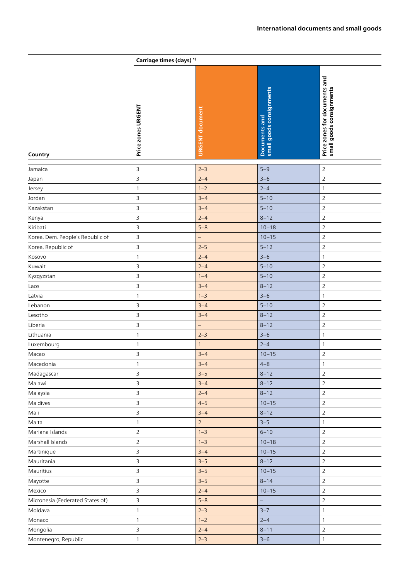|                                  | Carriage times (days) <sup>1)</sup> |                        |                                           |                                                           |
|----------------------------------|-------------------------------------|------------------------|-------------------------------------------|-----------------------------------------------------------|
| Country                          | Price zones URGENT                  | <b>URGENT</b> document | Documents and<br>small goods consignments | Price zones for documents and<br>small goods consignments |
| Jamaica                          | 3                                   | $2 - 3$                | $5 - 9$                                   | $\overline{2}$                                            |
| Japan                            | $\overline{3}$                      | $2 - 4$                | $3 - 6$                                   | $\sqrt{2}$                                                |
| Jersey                           | 1                                   | $1 - 2$                | $2 - 4$                                   | $\mathbf{1}$                                              |
| Jordan                           | 3                                   | $3 - 4$                | $5 - 10$                                  | $\sqrt{2}$                                                |
| Kazakstan                        | 3                                   | $3 - 4$                | $5 - 10$                                  | $\overline{2}$                                            |
| Kenya                            | 3                                   | $2 - 4$                | $8 - 12$                                  | $\sqrt{2}$                                                |
| Kiribati                         | 3                                   | $5 - 8$                | $10 - 18$                                 | $\mathsf{2}\,$                                            |
| Korea, Dem. People's Republic of | 3                                   | $\qquad \qquad -$      | $10 - 15$                                 | $\overline{2}$                                            |
| Korea, Republic of               | 3                                   | $2 - 5$                | $5 - 12$                                  | $\overline{2}$                                            |
| Kosovo                           | 1                                   | $2 - 4$                | $3 - 6$                                   | $\mathbf{1}$                                              |
| Kuwait                           | 3                                   | $2 - 4$                | $5 - 10$                                  | $\overline{2}$                                            |
| Kyzgyzstan                       | 3                                   | $1 - 4$                | $5 - 10$                                  | $\overline{2}$                                            |
| Laos                             | $\mathsf 3$                         | $3 - 4$                | $8 - 12$                                  | $\overline{2}$                                            |
| Latvia                           | 1                                   | $1 - 3$                | $3 - 6$                                   | $\mathbf{1}$                                              |
| Lebanon                          | 3                                   | $3 - 4$                | $5 - 10$                                  | $\overline{2}$                                            |
| Lesotho                          | 3                                   | $3 - 4$                | $8 - 12$                                  | $\overline{2}$                                            |
| Liberia                          | 3                                   | $\overline{a}$         | $8 - 12$                                  | $\overline{2}$                                            |
| Lithuania                        | 1                                   | $2 - 3$                | $3 - 6$                                   | $\mathbf{1}$                                              |
| Luxembourg                       | 1                                   | $\mathbf{1}$           | $2 - 4$                                   | $\mathbf{1}$                                              |
| Macao                            | $\mathsf 3$                         | $3 - 4$                | $10 - 15$                                 | $\mathsf{2}\,$                                            |
| Macedonia                        | 1                                   | $3 - 4$                | $4 - 8$                                   | 1                                                         |
| Madagascar                       | 3                                   | $3 - 5$                | $8 - 12$                                  | $\overline{2}$                                            |
| Malawi                           | $\mathsf 3$                         | $3 - 4$                | $8 - 12$                                  | $\overline{2}$                                            |
| Malaysia                         | $\mathsf 3$                         | $2 - 4$                | $8 - 12$                                  | $\overline{2}$                                            |
| Maldives                         | 3                                   | $4 - 5$                | $10 - 15$                                 | $\overline{2}$                                            |
| Mali                             | $\mathsf 3$                         | $3 - 4$                | $8 - 12$                                  | $\sqrt{2}$                                                |
| Malta                            | $\mathbf{1}$                        | $\overline{2}$         | $3 - 5$                                   | $\mathbf{1}$                                              |
| Mariana Islands                  | $\overline{2}$                      | $1 - 3$                | $6 - 10$                                  | $\overline{2}$                                            |
| Marshall Islands                 | $\overline{2}$                      | $1 - 3$                | $10 - 18$                                 | $\overline{2}$                                            |
| Martinique                       | 3                                   | $3 - 4$                | $10 - 15$                                 | $\overline{2}$                                            |
| Mauritania                       | $\mathsf 3$                         | $3 - 5$                | $8 - 12$                                  | $\overline{2}$                                            |
| Mauritius                        | 3                                   | $3 - 5$                | $10 - 15$                                 | $\overline{2}$                                            |
| Mayotte                          | 3                                   | $3 - 5$                | $8 - 14$                                  | $\overline{2}$                                            |
| Mexico                           | $\mathsf 3$                         | $2 - 4$                | $10 - 15$                                 | $\overline{2}$                                            |
| Micronesia (Federated States of) | $\mathsf 3$                         | $5 - 8$                | $\overline{\phantom{0}}$                  | $\overline{2}$                                            |
| Moldava                          | 1                                   | $2 - 3$                | $3 - 7$                                   | $\mathbf{1}$                                              |
| Monaco                           | $\mathbf{1}$                        | $1 - 2$                | $2 - 4$                                   | $\mathbf{1}$                                              |
| Mongolia                         | $\mathsf 3$                         | $2 - 4$                | $8 - 11$                                  | $\overline{2}$                                            |
| Montenegro, Republic             | $\mathbf{1}$                        | $2 - 3$                | $3 - 6$                                   | $\mathbf{1}$                                              |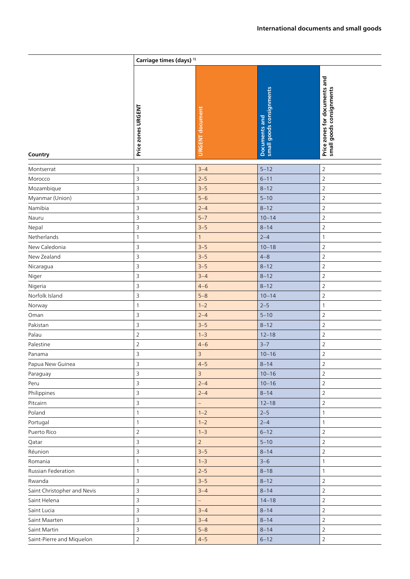|                             | Carriage times (days) <sup>1)</sup> |                          |                                           |                                                           |
|-----------------------------|-------------------------------------|--------------------------|-------------------------------------------|-----------------------------------------------------------|
| Country                     | Price zones URGENT                  | <b>URGENT</b> document   | small goods consignments<br>Documents and | Price zones for documents and<br>small goods consignments |
| Montserrat                  | 3                                   | $3 - 4$                  | $5 - 12$                                  | $\sqrt{2}$                                                |
| Morocco                     | 3                                   | $2 - 5$                  | $6 - 11$                                  | $\overline{2}$                                            |
| Mozambique                  | 3                                   | $3 - 5$                  | $8 - 12$                                  | $\overline{2}$                                            |
| Myanmar (Union)             | 3                                   | $5-6$                    | $5 - 10$                                  | $\overline{2}$                                            |
| Namibia                     | 3                                   | $2 - 4$                  | $8 - 12$                                  | $\sqrt{2}$                                                |
| Nauru                       | 3                                   | $5 - 7$                  | $10 - 14$                                 | $\overline{2}$                                            |
| Nepal                       | 3                                   | $3 - 5$                  | $8 - 14$                                  | $\overline{2}$                                            |
| Netherlands                 | $\mathbf{1}$                        | $\mathbf{1}$             | $2 - 4$                                   | $\mathbf{1}$                                              |
| New Caledonia               | 3                                   | $3 - 5$                  | $10 - 18$                                 | 2                                                         |
| New Zealand                 | 3                                   | $3 - 5$                  | $4 - 8$                                   | $\overline{2}$                                            |
| Nicaragua                   | 3                                   | $3 - 5$                  | $8 - 12$                                  | $\sqrt{2}$                                                |
| Niger                       | 3                                   | $3 - 4$                  | $8 - 12$                                  | $\overline{2}$                                            |
| Nigeria                     | 3                                   | $4 - 6$                  | $8 - 12$                                  | $\overline{2}$                                            |
| Norfolk Island              | 3                                   | $5 - 8$                  | $10 - 14$                                 | $\overline{2}$                                            |
| Norway                      | $\mathbf{1}$                        | $1 - 2$                  | $2 - 5$                                   | $\mathbf{1}$                                              |
| Oman                        | 3                                   | $2 - 4$                  | $5 - 10$                                  | $\sqrt{2}$                                                |
| Pakistan                    | 3                                   | $3 - 5$                  | $8 - 12$                                  | $\overline{2}$                                            |
| Palau                       | $\overline{2}$                      | $1 - 3$                  | $12 - 18$                                 | $\overline{2}$                                            |
| Palestine                   | $\overline{2}$                      | $4 - 6$                  | $3 - 7$                                   | $\sqrt{2}$                                                |
| Panama                      | 3                                   | $\overline{3}$           | $10 - 16$                                 | $\overline{2}$                                            |
| Papua New Guinea            | 3                                   | $4 - 5$                  | $8 - 14$                                  | 2                                                         |
| Paraguay                    | $\overline{3}$                      | $\overline{3}$           | $10 - 16$                                 | $\overline{2}$                                            |
| Peru                        | 3                                   | $2 - 4$                  | $10 - 16$                                 | $\overline{2}$                                            |
| Philippines                 | 3                                   | $2 - 4$                  | $8 - 14$                                  | $\overline{2}$                                            |
| Pitcairn                    | 3                                   |                          | $12 - 18$                                 | $\overline{2}$                                            |
| Poland                      | $\mathbf{1}$                        | $1 - 2$                  | $2 - 5$                                   | $\mathbf{1}$                                              |
| Portugal                    | $\mathbf{1}$                        | $1 - 2$                  | $2 - 4$                                   | $\mathbf{1}$                                              |
| Puerto Rico                 | $\overline{2}$                      | $1 - 3$                  | $6 - 12$                                  | $\overline{2}$                                            |
| Qatar                       | 3                                   | $\overline{2}$           | $5 - 10$                                  | $\overline{2}$                                            |
| Réunion                     | 3                                   | $3 - 5$                  | $8 - 14$                                  | $\overline{2}$                                            |
| Romania                     | $\mathbf{1}$                        | $1 - 3$                  | $3 - 6$                                   | $\mathbf{1}$                                              |
| Russian Federation          | $\mathbf{1}$                        | $2 - 5$                  | $8 - 18$                                  | $\mathbf{1}$                                              |
| Rwanda                      | 3                                   | $3 - 5$                  | $8 - 12$                                  | $\overline{2}$                                            |
| Saint Christopher and Nevis | 3                                   | $3 - 4$                  | $8 - 14$                                  | $\overline{2}$                                            |
| Saint Helena                | 3                                   | $\overline{\phantom{0}}$ | $14 - 18$                                 | $\overline{2}$                                            |
| Saint Lucia                 | 3                                   | $3 - 4$                  | $8 - 14$                                  | $\overline{2}$                                            |
| Saint Maarten               | 3                                   | $3 - 4$                  | $8 - 14$                                  | $\overline{2}$                                            |
| Saint Martin                | 3                                   | $5 - 8$                  | $8 - 14$                                  | $\overline{2}$                                            |
| Saint-Pierre and Miquelon   | $\overline{2}$                      | $4 - 5$                  | $6 - 12$                                  | $\overline{2}$                                            |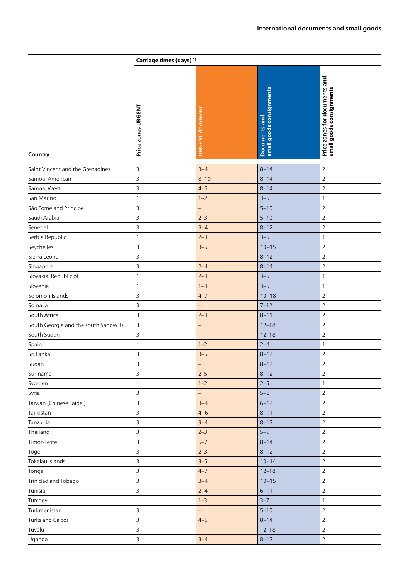|                                         | Carriage times (days) <sup>1)</sup> |                          |                                           |                                                           |
|-----------------------------------------|-------------------------------------|--------------------------|-------------------------------------------|-----------------------------------------------------------|
| Country                                 | Price zones URGENT                  | URGENT document          | small goods consignments<br>Documents and | Price zones for documents and<br>small goods consignments |
| Saint Vincent and the Grenadines        | 3                                   | $3 - 4$                  | $8 - 14$                                  | $\overline{2}$                                            |
| Samoa, American                         | $\overline{\mathbf{3}}$             | $8 - 10$                 | $8 - 14$                                  | $\mathbf 2$                                               |
| Samoa, West                             | 3                                   | $4 - 5$                  | $8 - 14$                                  | $\overline{2}$                                            |
| San Marino                              | $\mathbf{1}$                        | $1 - 2$                  | $3 - 5$                                   | 1                                                         |
| São Tome and Principe                   | 3                                   | $\qquad \qquad -$        | $5 - 10$                                  | $\overline{2}$                                            |
| Saudi Arabia                            | $\mathsf 3$                         | $2 - 3$                  | $5 - 10$                                  | $\overline{2}$                                            |
| Senegal                                 | 3                                   | $3 - 4$                  | $8 - 12$                                  | $\overline{2}$                                            |
| Serbia Republic                         | $\mathbf{1}$                        | $2 - 3$                  | $3 - 5$                                   | $\mathbf{1}$                                              |
| Seychelles                              | $\overline{\mathbf{3}}$             | $3 - 5$                  | $10 - 15$                                 | $\overline{2}$                                            |
| Sierra Leone                            | 3                                   | -                        | $8 - 12$                                  | $\overline{2}$                                            |
| Singapore                               | 3                                   | $2 - 4$                  | $8 - 14$                                  | $\overline{2}$                                            |
| Slovakia, Republic of                   | 1                                   | $2 - 3$                  | $3 - 5$                                   | $\mathbf{1}$                                              |
| Slovenia                                | $\mathbf{1}$                        | $1 - 3$                  | $3 - 5$                                   | 1                                                         |
| Solomon Islands                         | 3                                   | $4 - 7$                  | $10 - 18$                                 | $\overline{2}$                                            |
| Somalia                                 | 3                                   | $\qquad \qquad -$        | $7 - 12$                                  | $\overline{2}$                                            |
| South Africa                            | 3                                   | $2 - 3$                  | $8 - 11$                                  | $\overline{2}$                                            |
| South Georgia and the south Sandw. Isl. | 3                                   | $\qquad \qquad -$        | $12 - 18$                                 | $\overline{2}$                                            |
| South Sudan                             | 3                                   | $\qquad \qquad -$        | $12 - 18$                                 | $\overline{2}$                                            |
| Spain                                   | $\mathbf{1}$                        | $1 - 2$                  | $2 - 4$                                   | $\mathbf{1}$                                              |
| Sri Lanka                               | 3                                   | $3 - 5$                  | $8 - 12$                                  | $\overline{2}$                                            |
| Sudan                                   | 3                                   | —                        | $8 - 12$                                  | 2                                                         |
| Suriname                                | $\overline{3}$                      | $2 - 5$                  | $8 - 12$                                  | $\overline{2}$                                            |
| Sweden                                  | $\mathbf{1}$                        | $1 - 2$                  | $2 - 5$                                   | $\mathbf{1}$                                              |
| Syria                                   | 3                                   | $\overline{\phantom{0}}$ | $5 - 8$                                   | $\sqrt{2}$                                                |
| Taiwan (Chinese Taipei)                 | 3                                   | $3 - 4$                  | $6 - 12$                                  | $\overline{2}$                                            |
| Tajikistan                              | $\overline{3}$                      | $4 - 6$                  | $8 - 11$                                  | $\overline{2}$                                            |
| Tanzania                                | $\overline{3}$                      | $3 - 4$                  | $8 - 12$                                  | $\overline{2}$                                            |
| Thailand                                | 3                                   | $2 - 3$                  | $5 - 9$                                   | $\overline{2}$                                            |
| Timor-Leste                             | 3                                   | $5 - 7$                  | $8 - 14$                                  | $\overline{2}$                                            |
| Togo                                    | $\mathsf 3$                         | $2 - 3$                  | $8 - 12$                                  | $\overline{2}$                                            |
| Tokelau Islands                         | 3                                   | $3 - 5$                  | $10 - 14$                                 | $\mathbf 2$                                               |
| Tonga                                   | 3                                   | $4 - 7$                  | $12 - 18$                                 | $\overline{2}$                                            |
| Trinidad and Tobago                     | $\overline{3}$                      | $3 - 4$                  | $10 - 15$                                 | $\overline{2}$                                            |
| Tunisia                                 | $\overline{3}$                      | $2 - 4$                  | $6 - 11$                                  | $\sqrt{2}$                                                |
| Turchey                                 | $\mathbf{1}$                        | $1 - 3$                  | $3 - 7$                                   | $\mathbf{1}$                                              |
| Turkmenistan                            | 3                                   | $\overline{\phantom{0}}$ | $5 - 10$                                  | $\overline{2}$                                            |
| Turks and Caicos                        | $\overline{3}$                      | $4 - 5$                  | $8 - 14$                                  | $\sqrt{2}$                                                |
| Tuvalu                                  | $\overline{3}$                      | $\qquad \qquad -$        | $12 - 18$                                 | $\overline{2}$                                            |
| Uganda                                  | 3                                   | $3 - 4$                  | $8 - 12$                                  | $\overline{2}$                                            |